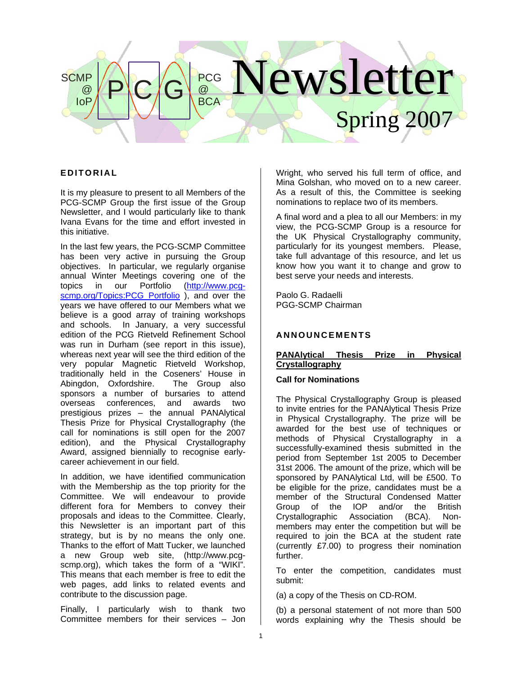# lewsletter Spring 20  $P$  C  $G$   $_{BCA}^{PCG}$  $\circledR$ **BCA SCMP**  $\omega$ IoP

# **EDITORIA L**

It is my pleasure to present to all Members of the PCG-SCMP Group the first issue of the Group Newsletter, and I would particularly like to thank Ivana Evans for the time and effort invested in this initiative.

In the last few years, the PCG-SCMP Committee has been very active in pursuing the Group objectives. In particular, we regularly organise annual Winter Meetings covering one of the topics in our Portfolio [\(http://www.pcg](http://www.pcg-scmp.org/Topics:PCG_Portfolio)[scmp.org/Topics:PCG\\_Portfolio](http://www.pcg-scmp.org/Topics:PCG_Portfolio) ), and over the years we have offered to our Members what we believe is a good array of training workshops and schools. In January, a very successful edition of the PCG Rietveld Refinement School was run in Durham (see report in this issue), whereas next year will see the third edition of the very popular Magnetic Rietveld Workshop, traditionally held in the Coseners' House in Abingdon, Oxfordshire. The Group also sponsors a number of bursaries to attend overseas conferences, and awards two prestigious prizes – the annual PANAlytical Thesis Prize for Physical Crystallography (the call for nominations is still open for the 2007 edition), and the Physical Crystallography Award, assigned biennially to recognise earlycareer achievement in our field.

In addition, we have identified communication with the Membership as the top priority for the Committee. We will endeavour to provide different fora for Members to convey their proposals and ideas to the Committee. Clearly, this Newsletter is an important part of this strategy, but is by no means the only one. Thanks to the effort of Matt Tucker, we launched a new Group web site, (http://www.pcgscmp.org), which takes the form of a "WIKI". This means that each member is free to edit the web pages, add links to related events and contribute to the discussion page.

Finally, I particularly wish to thank two Committee members for their services – Jon

Wright, who served his full term of office, and Mina Golshan, who moved on to a new career. As a result of this, the Committee is seeking nominations to replace two of its members.

A final word and a plea to all our Members: in my view, the PCG-SCMP Group is a resource for the UK Physical Crystallography community, particularly for its youngest members. Please, take full advantage of this resource, and let us know how you want it to change and grow to best serve your needs and interests.

Paolo G. Radaelli PGG-SCMP Chairman

# **A N N OU N C EMENTS**

# **PANAlytical Thesis Prize in Physical Crystallography**

# **Call for Nominations**

The Physical Crystallography Group is pleased to invite entries for the PANAlytical Thesis Prize in Physical Crystallography. The prize will be awarded for the best use of techniques or methods of Physical Crystallography in a successfully-examined thesis submitted in the period from September 1st 2005 to December 31st 2006. The amount of the prize, which will be sponsored by PANAlytical Ltd, will be £500. To be eligible for the prize, candidates must be a member of the Structural Condensed Matter Group of the IOP and/or the British<br>Crystallographic Association (BCA), Non-Crystallographic Association (BCA). Nonmembers may enter the competition but will be required to join the BCA at the student rate (currently £7.00) to progress their nomination further.

To enter the competition, candidates must submit:

(a) a copy of the Thesis on CD-ROM.

(b) a personal statement of not more than 500 words explaining why the Thesis should be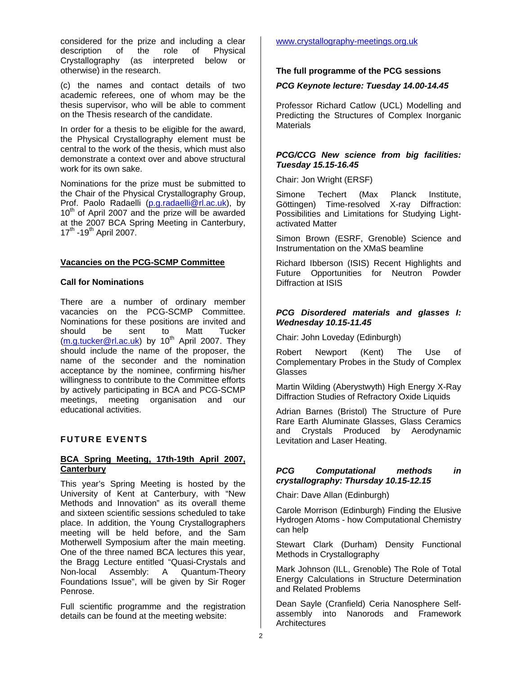considered for the prize and including a clear<br>description of the role of Physical description of the role of Crystallography (as interpreted below or otherwise) in the research.

(c) the names and contact details of two academic referees, one of whom may be the thesis supervisor, who will be able to comment on the Thesis research of the candidate.

In order for a thesis to be eligible for the award, the Physical Crystallography element must be central to the work of the thesis, which must also demonstrate a context over and above structural work for its own sake.

Nominations for the prize must be submitted to the Chair of the Physical Crystallography Group, Prof. Paolo Radaelli [\(p.g.radaelli@rl.ac.uk\)](mailto:p.g.radaelli@rl.ac.uk), by 10<sup>th</sup> of April 2007 and the prize will be awarded at the 2007 BCA Spring Meeting in Canterbury,  $17^{th}$  -19<sup>th</sup> April 2007.

# **Vacancies on the PCG-SCMP Committee**

# **Call for Nominations**

There are a number of ordinary member vacancies on the PCG-SCMP Committee. Nominations for these positions are invited and should be sent to Matt Tucker [\(m.g.tucker@rl.ac.uk](mailto:m.g.tucker@rl.ac.uk)) by 10<sup>th</sup> April 2007. They should include the name of the proposer, the name of the seconder and the nomination acceptance by the nominee, confirming his/her willingness to contribute to the Committee efforts by actively participating in BCA and PCG-SCMP meetings, meeting organisation and our educational activities.

# **FUTURE EVENTS**

# **BCA Spring Meeting, 17th-19th April 2007, Canterbury**

This year's Spring Meeting is hosted by the University of Kent at Canterbury, with "New Methods and Innovation" as its overall theme and sixteen scientific sessions scheduled to take place. In addition, the Young Crystallographers meeting will be held before, and the Sam Motherwell Symposium after the main meeting. One of the three named BCA lectures this year, the Bragg Lecture entitled "Quasi-Crystals and Non-local Assembly: A Quantum-Theory Foundations Issue", will be given by Sir Roger Penrose.

Full scientific programme and the registration details can be found at the meeting website:

# [www.crystallography-meetings.org.uk](http://www.crystallography-meetings.org.uk/)

# **The full programme of the PCG sessions**

# *PCG Keynote lecture: Tuesday 14.00-14.45*

Professor Richard Catlow (UCL) Modelling and Predicting the Structures of Complex Inorganic **Materials** 

#### *PCG/CCG New science from big facilities: Tuesday 15.15-16.45*

Chair: Jon Wright (ERSF)

Simone Techert (Max Planck Institute, Göttingen) Time-resolved X-ray Diffraction: Possibilities and Limitations for Studying Lightactivated Matter

Simon Brown (ESRF, Grenoble) Science and Instrumentation on the XMaS beamline

Richard Ibberson (ISIS) Recent Highlights and Future Opportunities for Neutron Powder Diffraction at ISIS

# *PCG Disordered materials and glasses I: Wednesday 10.15-11.45*

Chair: John Loveday (Edinburgh)

Robert Newport (Kent) The Use of Complementary Probes in the Study of Complex Glasses

Martin Wilding (Aberystwyth) High Energy X-Ray Diffraction Studies of Refractory Oxide Liquids

Adrian Barnes (Bristol) The Structure of Pure Rare Earth Aluminate Glasses, Glass Ceramics and Crystals Produced by Aerodynamic Levitation and Laser Heating.

# *PCG Computational methods in crystallography: Thursday 10.15-12.15*

Chair: Dave Allan (Edinburgh)

Carole Morrison (Edinburgh) Finding the Elusive Hydrogen Atoms - how Computational Chemistry can help

Stewart Clark (Durham) Density Functional Methods in Crystallography

Mark Johnson (ILL, Grenoble) The Role of Total Energy Calculations in Structure Determination and Related Problems

Dean Sayle (Cranfield) Ceria Nanosphere Selfassembly into Nanorods and Framework **Architectures**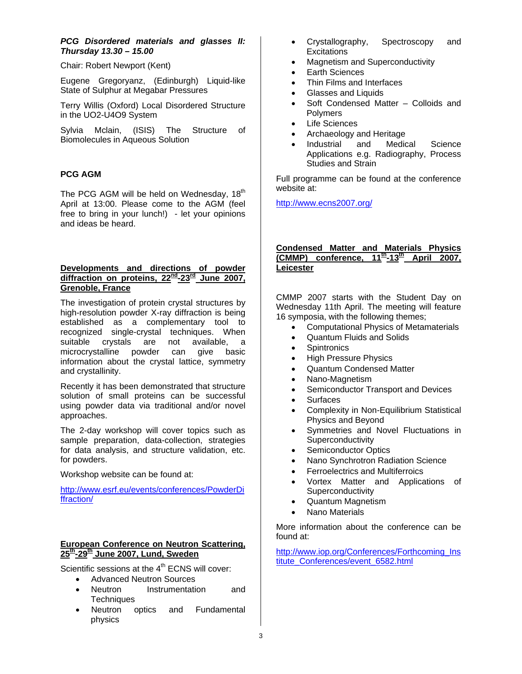# *PCG Disordered materials and glasses II: Thursday 13.30 – 15.00*

Chair: Robert Newport (Kent)

Eugene Gregoryanz, (Edinburgh) Liquid-like State of Sulphur at Megabar Pressures

Terry Willis (Oxford) Local Disordered Structure in the UO2-U4O9 System

Sylvia Mclain, (ISIS) The Structure of Biomolecules in Aqueous Solution

# **PCG AGM**

The PCG AGM will be held on Wednesday, 18<sup>th</sup> April at 13:00. Please come to the AGM (feel free to bring in your lunch!) - let your opinions and ideas be heard.

# **Developments and directions of powder**  diffraction on proteins, 22<sup>nd</sup>-23<sup>rd</sup> June 2007, **Grenoble, France**

The investigation of protein crystal structures by high-resolution powder X-ray diffraction is being established as a complementary tool to recognized single-crystal techniques. When suitable crystals are not available, a microcrystalline powder can give basic information about the crystal lattice, symmetry and crystallinity.

Recently it has been demonstrated that structure solution of small proteins can be successful using powder data via traditional and/or novel approaches.

The 2-day workshop will cover topics such as sample preparation, data-collection, strategies for data analysis, and structure validation, etc. for powders.

Workshop website can be found at:

[http://www.esrf.eu/events/conferences/PowderDi](http://www.esrf.eu/events/conferences/PowderDiffraction/) [ffraction/](http://www.esrf.eu/events/conferences/PowderDiffraction/)

# **European Conference on Neutron Scattering, 25th-29th June 2007, Lund, Sweden**

Scientific sessions at the  $4<sup>th</sup>$  ECNS will cover:

- Advanced Neutron Sources
- Neutron Instrumentation and **Techniques**
- Neutron optics and Fundamental physics
- Crystallography, Spectroscopy and **Excitations**
- Magnetism and Superconductivity
- Earth Sciences
- Thin Films and Interfaces
- Glasses and Liquids
- Soft Condensed Matter Colloids and **Polymers**
- **Life Sciences**
- Archaeology and Heritage
- Industrial and Medical Science Applications e.g. Radiography, Process Studies and Strain

Full programme can be found at the conference website at:

<http://www.ecns2007.org/>

# **Condensed Matter and Materials Physics (CMMP) conference, 11th-13th April 2007, Leicester**

CMMP 2007 starts with the Student Day on Wednesday 11th April. The meeting will feature 16 symposia, with the following themes;

- Computational Physics of Metamaterials
- Quantum Fluids and Solids
- **Spintronics**
- High Pressure Physics
- Quantum Condensed Matter
- Nano-Magnetism
- Semiconductor Transport and Devices
- **Surfaces**
- Complexity in Non-Equilibrium Statistical Physics and Beyond
- Symmetries and Novel Fluctuations in **Superconductivity**
- Semiconductor Optics
- Nano Synchrotron Radiation Science
- Ferroelectrics and Multiferroics
- Vortex Matter and Applications of **Superconductivity**
- Quantum Magnetism
- Nano Materials

More information about the conference can be found at:

[http://www.iop.org/Conferences/Forthcoming\\_Ins](http://www.iop.org/Conferences/Forthcoming_Institute_Conferences/event_6582.html) [titute\\_Conferences/event\\_6582.html](http://www.iop.org/Conferences/Forthcoming_Institute_Conferences/event_6582.html)